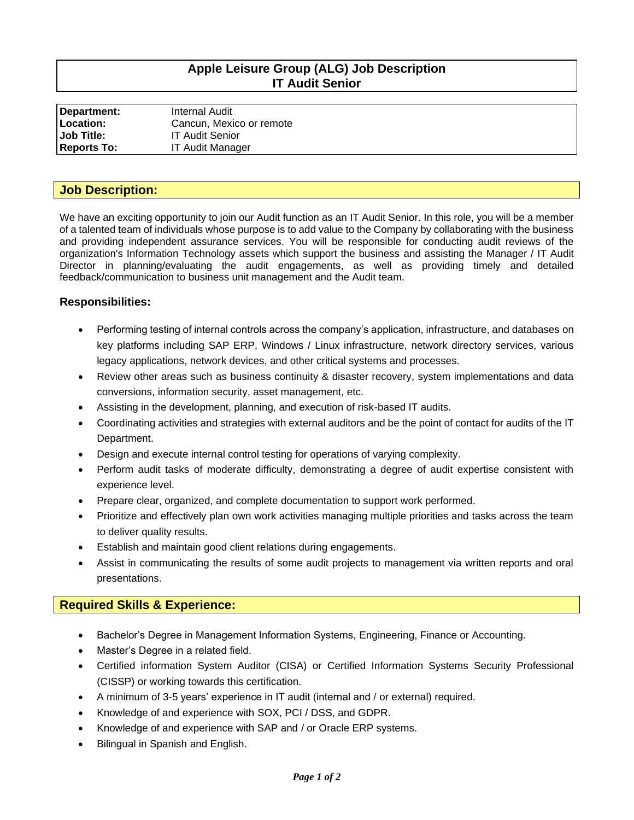# **Apple Leisure Group (ALG) Job Description IT Audit Senior**

| Department:        | Internal Audit           |
|--------------------|--------------------------|
| Location:          | Cancun, Mexico or remote |
| <b>Job Title:</b>  | <b>IT Audit Senior</b>   |
| <b>Reports To:</b> | <b>IT Audit Manager</b>  |

### **Job Description:**

We have an exciting opportunity to join our Audit function as an IT Audit Senior. In this role, you will be a member of a talented team of individuals whose purpose is to add value to the Company by collaborating with the business and providing independent assurance services. You will be responsible for conducting audit reviews of the organization's Information Technology assets which support the business and assisting the Manager / IT Audit Director in planning/evaluating the audit engagements, as well as providing timely and detailed feedback/communication to business unit management and the Audit team.

#### **Responsibilities:**

- Performing testing of internal controls across the company's application, infrastructure, and databases on key platforms including SAP ERP, Windows / Linux infrastructure, network directory services, various legacy applications, network devices, and other critical systems and processes.
- Review other areas such as business continuity & disaster recovery, system implementations and data conversions, information security, asset management, etc.
- Assisting in the development, planning, and execution of risk-based IT audits.
- Coordinating activities and strategies with external auditors and be the point of contact for audits of the IT Department.
- Design and execute internal control testing for operations of varying complexity.
- Perform audit tasks of moderate difficulty, demonstrating a degree of audit expertise consistent with experience level.
- Prepare clear, organized, and complete documentation to support work performed.
- Prioritize and effectively plan own work activities managing multiple priorities and tasks across the team to deliver quality results.
- Establish and maintain good client relations during engagements.
- Assist in communicating the results of some audit projects to management via written reports and oral presentations.

## **Required Skills & Experience:**

- Bachelor's Degree in Management Information Systems, Engineering, Finance or Accounting.
- Master's Degree in a related field.
- Certified information System Auditor (CISA) or Certified Information Systems Security Professional (CISSP) or working towards this certification.
- A minimum of 3-5 years' experience in IT audit (internal and / or external) required.
- Knowledge of and experience with SOX, PCI / DSS, and GDPR.
- Knowledge of and experience with SAP and / or Oracle ERP systems.
- Bilingual in Spanish and English.